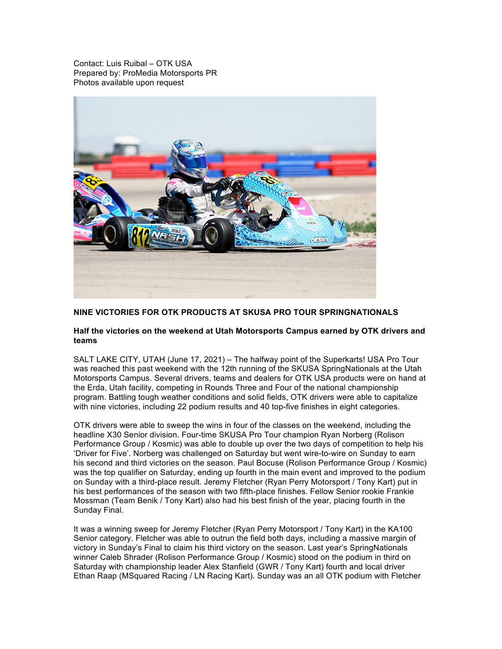Contact: Luis Ruibal – OTK USA Prepared by: ProMedia Motorsports PR Photos available upon request



## **NINE VICTORIES FOR OTK PRODUCTS AT SKUSA PRO TOUR SPRINGNATIONALS**

## **Half the victories on the weekend at Utah Motorsports Campus earned by OTK drivers and teams**

SALT LAKE CITY, UTAH (June 17, 2021) – The halfway point of the Superkarts! USA Pro Tour was reached this past weekend with the 12th running of the SKUSA SpringNationals at the Utah Motorsports Campus. Several drivers, teams and dealers for OTK USA products were on hand at the Erda, Utah facility, competing in Rounds Three and Four of the national championship program. Battling tough weather conditions and solid fields, OTK drivers were able to capitalize with nine victories, including 22 podium results and 40 top-five finishes in eight categories.

OTK drivers were able to sweep the wins in four of the classes on the weekend, including the headline X30 Senior division. Four-time SKUSA Pro Tour champion Ryan Norberg (Rolison Performance Group / Kosmic) was able to double up over the two days of competition to help his 'Driver for Five'. Norberg was challenged on Saturday but went wire-to-wire on Sunday to earn his second and third victories on the season. Paul Bocuse (Rolison Performance Group / Kosmic) was the top qualifier on Saturday, ending up fourth in the main event and improved to the podium on Sunday with a third-place result. Jeremy Fletcher (Ryan Perry Motorsport / Tony Kart) put in his best performances of the season with two fifth-place finishes. Fellow Senior rookie Frankie Mossman (Team Benik / Tony Kart) also had his best finish of the year, placing fourth in the Sunday Final.

It was a winning sweep for Jeremy Fletcher (Ryan Perry Motorsport / Tony Kart) in the KA100 Senior category. Fletcher was able to outrun the field both days, including a massive margin of victory in Sunday's Final to claim his third victory on the season. Last year's SpringNationals winner Caleb Shrader (Rolison Performance Group / Kosmic) stood on the podium in third on Saturday with championship leader Alex Stanfield (GWR / Tony Kart) fourth and local driver Ethan Raap (MSquared Racing / LN Racing Kart). Sunday was an all OTK podium with Fletcher